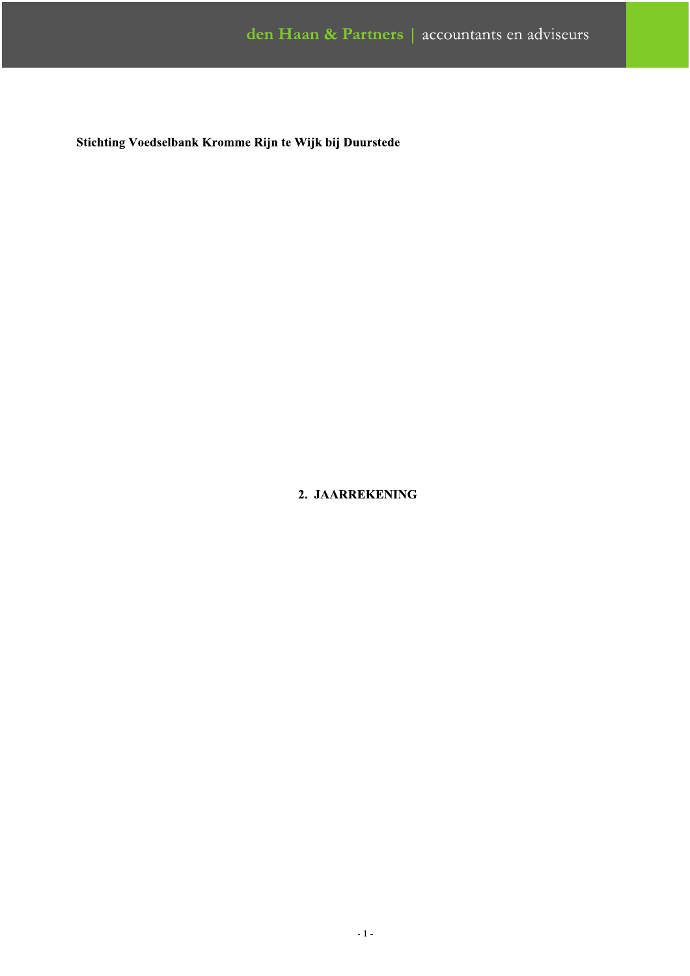# 2. JAARREKENING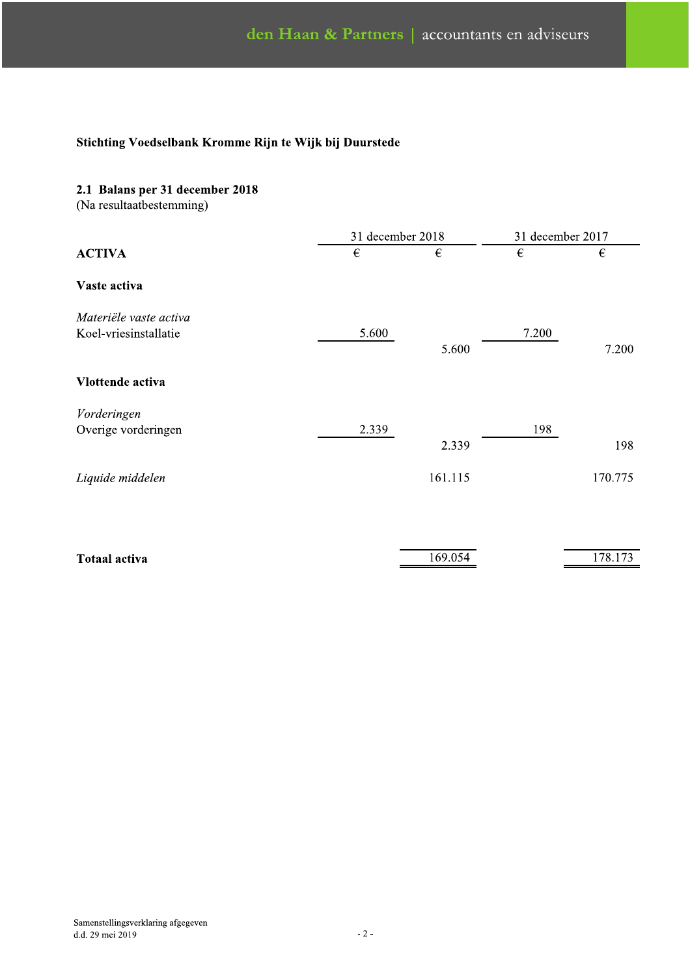# 2.1 Balans per 31 december 2018

(Na resultaatbestemming)

|                        | 31 december 2018 |         | 31 december 2017 |         |
|------------------------|------------------|---------|------------------|---------|
| <b>ACTIVA</b>          | €                | €       | €                | €       |
| Vaste activa           |                  |         |                  |         |
| Materiële vaste activa |                  |         |                  |         |
| Koel-vriesinstallatie  | 5.600            | 5.600   | 7.200            | 7.200   |
| Vlottende activa       |                  |         |                  |         |
| Vorderingen            |                  |         |                  |         |
| Overige vorderingen    | 2.339            | 2.339   | 198              | 198     |
| Liquide middelen       |                  | 161.115 |                  | 170.775 |
|                        |                  |         |                  |         |
| <b>Totaal activa</b>   |                  | 169.054 |                  | 178.173 |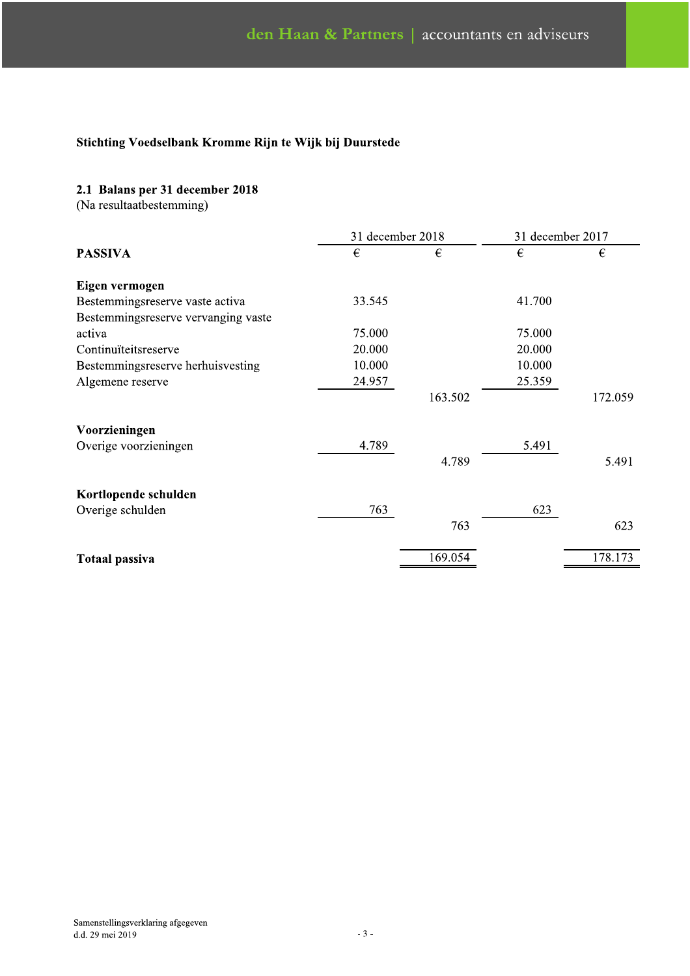# 2.1 Balans per 31 december 2018

(Na resultaatbestemming)

|                                     |        | 31 december 2018 |        | 31 december 2017 |  |
|-------------------------------------|--------|------------------|--------|------------------|--|
| <b>PASSIVA</b>                      | €      | €                | €      | €                |  |
| Eigen vermogen                      |        |                  |        |                  |  |
| Bestemmingsreserve vaste activa     | 33.545 |                  | 41.700 |                  |  |
| Bestemmingsreserve vervanging vaste |        |                  |        |                  |  |
| activa                              | 75.000 |                  | 75.000 |                  |  |
| Continuïteitsreserve                | 20.000 |                  | 20.000 |                  |  |
| Bestemmingsreserve herhuisvesting   | 10.000 |                  | 10.000 |                  |  |
| Algemene reserve                    | 24.957 |                  | 25.359 |                  |  |
|                                     |        | 163.502          |        | 172.059          |  |
| Voorzieningen                       |        |                  |        |                  |  |
| Overige voorzieningen               | 4.789  |                  | 5.491  |                  |  |
|                                     |        | 4.789            |        | 5.491            |  |
| Kortlopende schulden                |        |                  |        |                  |  |
| Overige schulden                    | 763    |                  | 623    |                  |  |
|                                     |        | 763              |        | 623              |  |
| <b>Totaal passiva</b>               |        | 169.054          |        | 178.173          |  |
|                                     |        |                  |        |                  |  |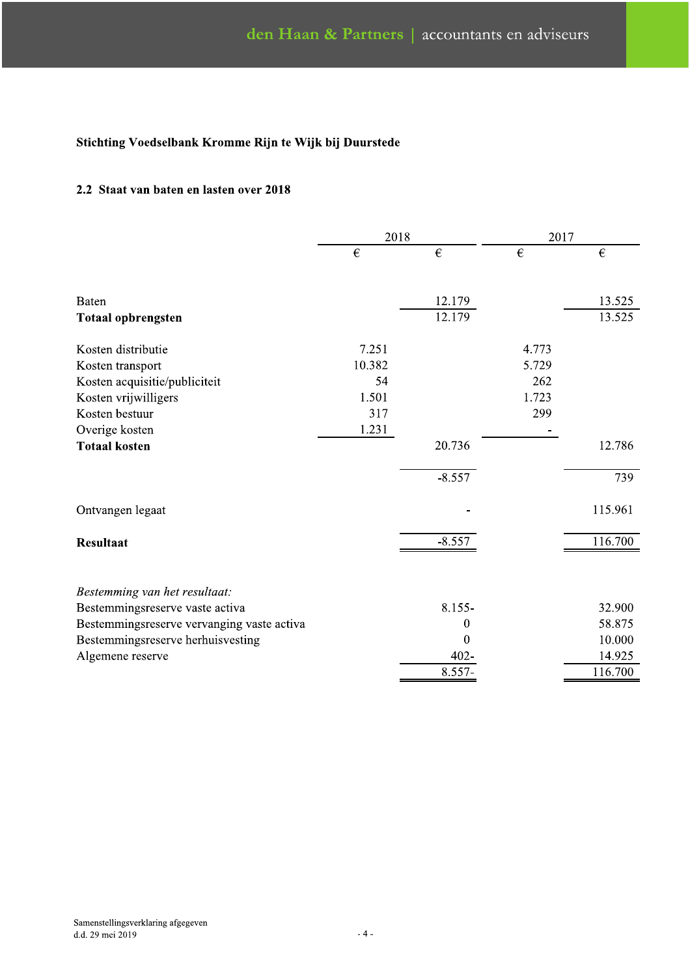## 2.2 Staat van baten en lasten over 2018

|                                            | 2018   |            |       | 2017                    |  |
|--------------------------------------------|--------|------------|-------|-------------------------|--|
|                                            | €      | $\epsilon$ | €     | $\boldsymbol{\epsilon}$ |  |
| Baten                                      |        | 12.179     |       | 13.525                  |  |
| <b>Totaal opbrengsten</b>                  |        | 12.179     |       | 13.525                  |  |
| Kosten distributie                         | 7.251  |            | 4.773 |                         |  |
| Kosten transport                           | 10.382 |            | 5.729 |                         |  |
| Kosten acquisitie/publiciteit              | 54     |            | 262   |                         |  |
| Kosten vrijwilligers                       | 1.501  |            | 1.723 |                         |  |
| Kosten bestuur                             | 317    |            | 299   |                         |  |
| Overige kosten                             | 1.231  |            |       |                         |  |
| <b>Totaal kosten</b>                       |        | 20.736     |       | 12.786                  |  |
|                                            |        |            |       |                         |  |
|                                            |        | $-8.557$   |       | 739                     |  |
| Ontvangen legaat                           |        |            |       | 115.961                 |  |
| <b>Resultaat</b>                           |        | $-8.557$   |       | 116.700                 |  |
|                                            |        |            |       |                         |  |
| Bestemming van het resultaat:              |        |            |       |                         |  |
| Bestemmingsreserve vaste activa            |        | 8.155-     |       | 32.900                  |  |
| Bestemmingsreserve vervanging vaste activa |        | 0          |       | 58.875                  |  |
| Bestemmingsreserve herhuisvesting          |        | 0          |       | 10.000                  |  |
| Algemene reserve                           |        | $402 -$    |       | 14.925                  |  |
|                                            |        | 8.557-     |       | 116.700                 |  |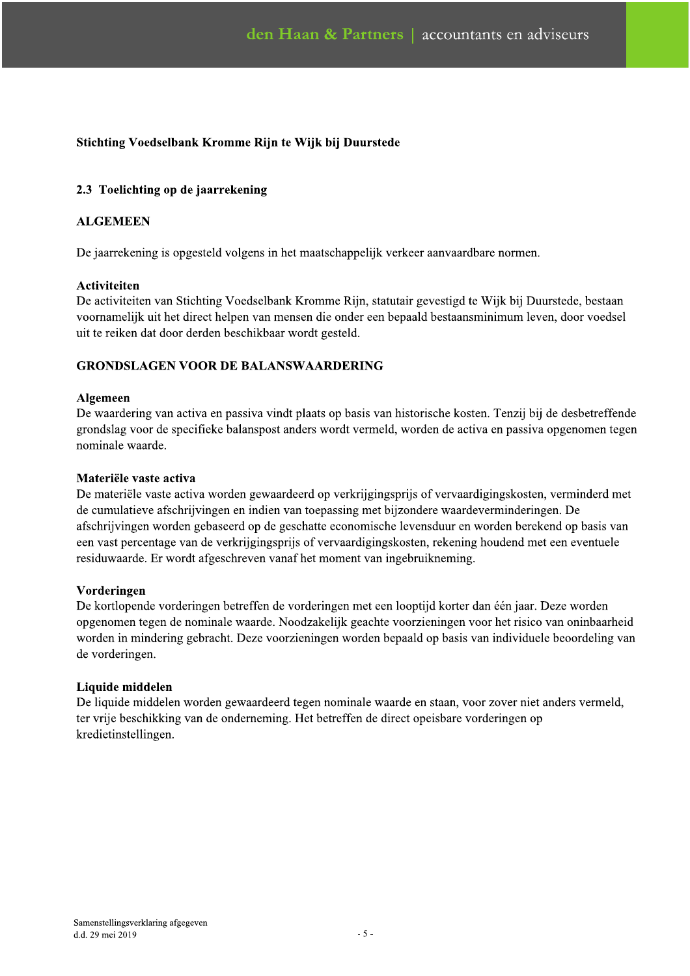# 2.3 Toelichting op de jaarrekening

## **ALGEMEEN**

De jaarrekening is opgesteld volgens in het maatschappelijk verkeer aanvaardbare normen.

#### Activiteiten

De activiteiten van Stichting Voedselbank Kromme Rijn, statutair gevestigd te Wijk bij Duurstede, bestaan voornamelijk uit het direct helpen van mensen die onder een bepaald bestaansminimum leven, door voedsel uit te reiken dat door derden beschikbaar wordt gesteld.

## **GRONDSLAGEN VOOR DE BALANSWAARDERING**

#### Algemeen

De waardering van activa en passiva vindt plaats op basis van historische kosten. Tenzij bij de desbetreffende grondslag voor de specifieke balanspost anders wordt vermeld, worden de activa en passiva opgenomen tegen nominale waarde.

#### Materiële vaste activa

De materiële vaste activa worden gewaardeerd op verkrijgingsprijs of vervaardigingskosten, verminderd met de cumulatieve afschrijvingen en indien van toepassing met bijzondere waardeverminderingen. De afschrijvingen worden gebaseerd op de geschatte economische levensduur en worden berekend op basis van een vast percentage van de verkrijgingsprijs of vervaardigingskosten, rekening houdend met een eventuele residuwaarde. Er wordt afgeschreven vanaf het moment van ingebruikneming.

#### Vorderingen

De kortlopende vorderingen betreffen de vorderingen met een looptijd korter dan één jaar. Deze worden opgenomen tegen de nominale waarde. Noodzakelijk geachte voorzieningen voor het risico van oninbaarheid worden in mindering gebracht. Deze voorzieningen worden bepaald op basis van individuele beoordeling van de vorderingen.

#### Liquide middelen

De liquide middelen worden gewaardeerd tegen nominale waarde en staan, voor zover niet anders vermeld, ter vrije beschikking van de onderneming. Het betreffen de direct opeisbare vorderingen op kredietinstellingen.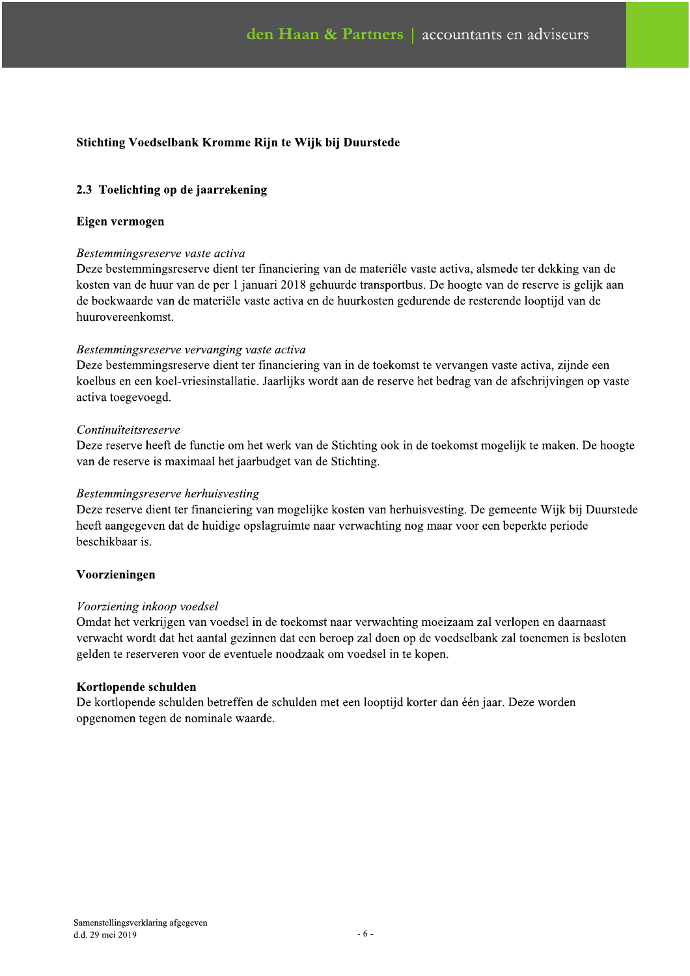# 2.3 Toelichting op de jaarrekening

#### Eigen vermogen

#### Bestemmingsreserve vaste activa

Deze bestemmingsreserve dient ter financiering van de materiële vaste activa, alsmede ter dekking van de kosten van de huur van de per 1 januari 2018 gehuurde transportbus. De hoogte van de reserve is gelijk aan de boekwaarde van de materiële vaste activa en de huurkosten gedurende de resterende looptijd van de huurovereenkomst.

#### Bestemmingsreserve vervanging vaste activa

Deze bestemmingsreserve dient ter financiering van in de toekomst te vervangen vaste activa, zijnde een koelbus en een koel-vriesinstallatie. Jaarlijks wordt aan de reserve het bedrag van de afschrijvingen op vaste activa toegevoegd.

#### Continuïteitsreserve

Deze reserve heeft de functie om het werk van de Stichting ook in de toekomst mogelijk te maken. De hoogte van de reserve is maximaal het jaarbudget van de Stichting.

#### Bestemmingsreserve herhuisvesting

Deze reserve dient ter financiering van mogelijke kosten van herhuisvesting. De gemeente Wijk bij Duurstede heeft aangegeven dat de huidige opslagruimte naar verwachting nog maar voor een beperkte periode beschikbaar is

#### Voorzieningen

#### Voorziening inkoop voedsel

Omdat het verkrijgen van voedsel in de toekomst naar verwachting moeizaam zal verlopen en daarnaast verwacht wordt dat het aantal gezinnen dat een beroep zal doen op de voedselbank zal toenemen is besloten gelden te reserveren voor de eventuele noodzaak om voedsel in te kopen.

#### Kortlopende schulden

De kortlopende schulden betreffen de schulden met een looptijd korter dan één jaar. Deze worden opgenomen tegen de nominale waarde.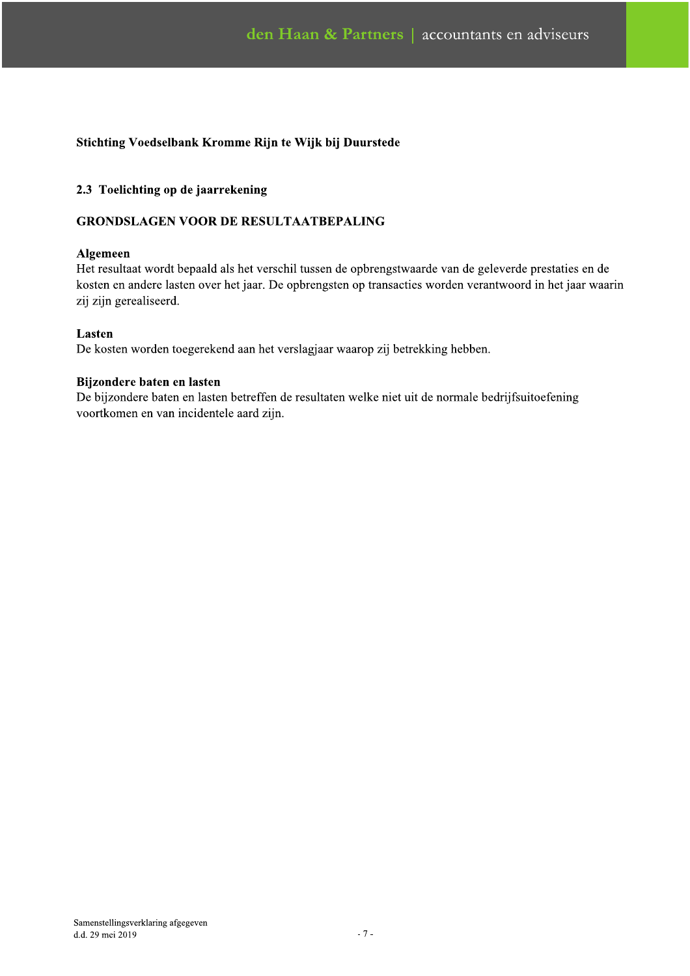## 2.3 Toelichting op de jaarrekening

## **GRONDSLAGEN VOOR DE RESULTAATBEPALING**

#### Algemeen

Het resultaat wordt bepaald als het verschil tussen de opbrengstwaarde van de geleverde prestaties en de kosten en andere lasten over het jaar. De opbrengsten op transacties worden verantwoord in het jaar waarin zij zijn gerealiseerd.

## Lasten

De kosten worden toegerekend aan het verslagjaar waarop zij betrekking hebben.

## Bijzondere baten en lasten

De bijzondere baten en lasten betreffen de resultaten welke niet uit de normale bedrijfsuitoefening voortkomen en van incidentele aard zijn.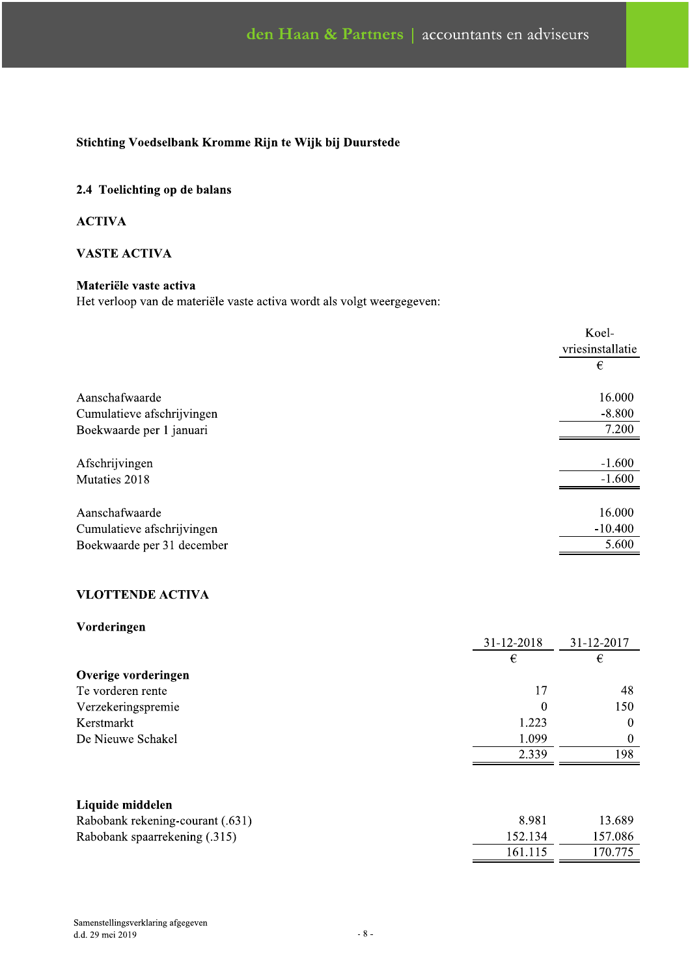# 2.4 Toelichting op de balans

## **ACTIVA**

## **VASTE ACTIVA**

# Materiële vaste activ

| <b>VASTE ACTIVA</b>                                                    |                  |
|------------------------------------------------------------------------|------------------|
| Materiële vaste activa                                                 |                  |
| Het verloop van de materiële vaste activa wordt als volgt weergegeven: |                  |
|                                                                        | Koel-            |
|                                                                        | vriesinstallatie |
|                                                                        | €                |
| Aanschafwaarde                                                         | 16.000           |
| Cumulatieve afschrijvingen                                             | $-8.800$         |
| Boekwaarde per 1 januari                                               | 7.200            |
| Afschrijvingen                                                         | $-1.600$         |
| Mutaties 2018                                                          | $-1.600$         |
| Aanschafwaarde                                                         | 16.000           |
| Cumulatieve afschrijvingen                                             | $-10.400$        |
| Boekwaarde per 31 december                                             | 5.600            |
| <b>VLOTTENDE ACTIVA</b>                                                |                  |
| Vorderingen                                                            |                  |

| Vorderingen                                                                           |            | 31-12-2018                  | 31-12-2017                   |
|---------------------------------------------------------------------------------------|------------|-----------------------------|------------------------------|
|                                                                                       |            | $\boldsymbol{\epsilon}$     | $\in$                        |
| Overige vorderingen                                                                   |            |                             |                              |
| Te vorderen rente                                                                     |            | 17                          |                              |
| Verzekeringspremie                                                                    |            | $\mathbf{0}$                |                              |
| Kerstmarkt                                                                            |            | 1.223                       |                              |
| De Nieuwe Schakel                                                                     |            | 1.099                       |                              |
|                                                                                       |            | 2.339                       |                              |
| Liquide middelen<br>Rabobank rekening-courant (.631)<br>Rabobank spaarrekening (.315) |            | 8.981<br>152.134<br>161.115 | 13.689<br>157.086<br>170.775 |
| Samenstellingsverklaring afgegeven<br>d.d. 29 mei 2019                                | $\sim 8$ - |                             |                              |
|                                                                                       |            |                             |                              |

| Rabobank rekening-courant (.631) | 8.981   | 13.689  |
|----------------------------------|---------|---------|
| Rabobank spaarrekening (.315)    | 152.134 | 157.086 |
|                                  | 161.115 | 170.775 |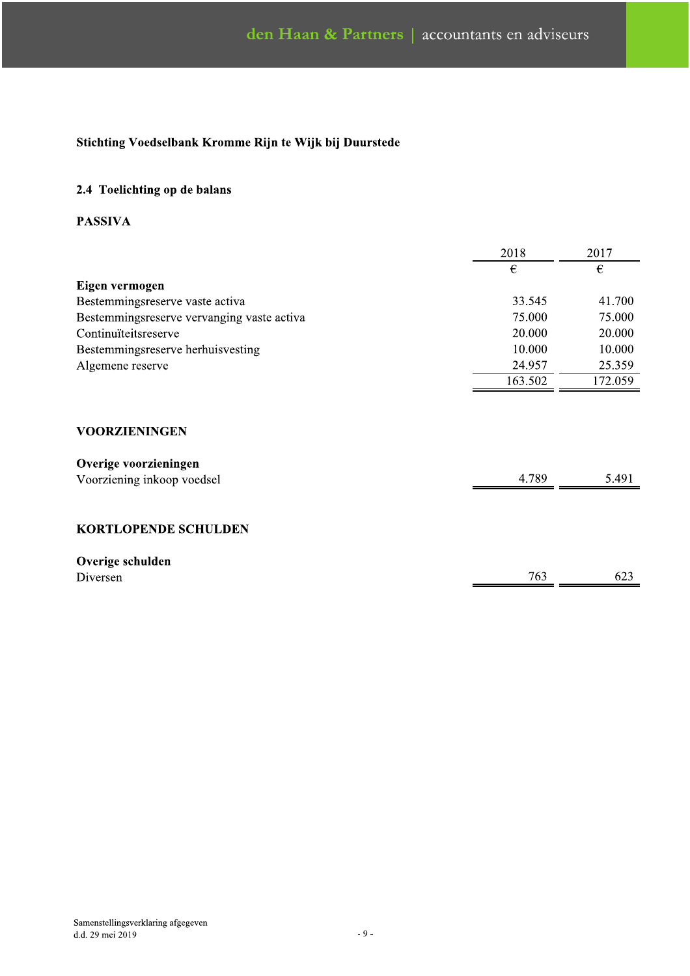# 2.4 Toelichting op de balans

## **PASSIVA**

|                                            | 2018    | 2017    |  |
|--------------------------------------------|---------|---------|--|
|                                            | €       | €       |  |
| Eigen vermogen                             |         |         |  |
| Bestemmingsreserve vaste activa            | 33.545  | 41.700  |  |
| Bestemmingsreserve vervanging vaste activa | 75.000  | 75.000  |  |
| Continuïteitsreserve                       | 20.000  | 20.000  |  |
| Bestemmingsreserve herhuisvesting          | 10.000  | 10.000  |  |
| Algemene reserve                           | 24.957  | 25.359  |  |
|                                            | 163.502 | 172.059 |  |
|                                            |         |         |  |
|                                            |         |         |  |
|                                            |         |         |  |

# **VOORZIENINGEN**

| Overige voorzieningen      |       |       |
|----------------------------|-------|-------|
| Voorziening inkoop voedsel | 4.789 | 5.491 |

## **KORTLOPENDE SCHULDEN**

| Overige schulden |     |     |
|------------------|-----|-----|
| Diversen         | 763 | 02z |
|                  |     |     |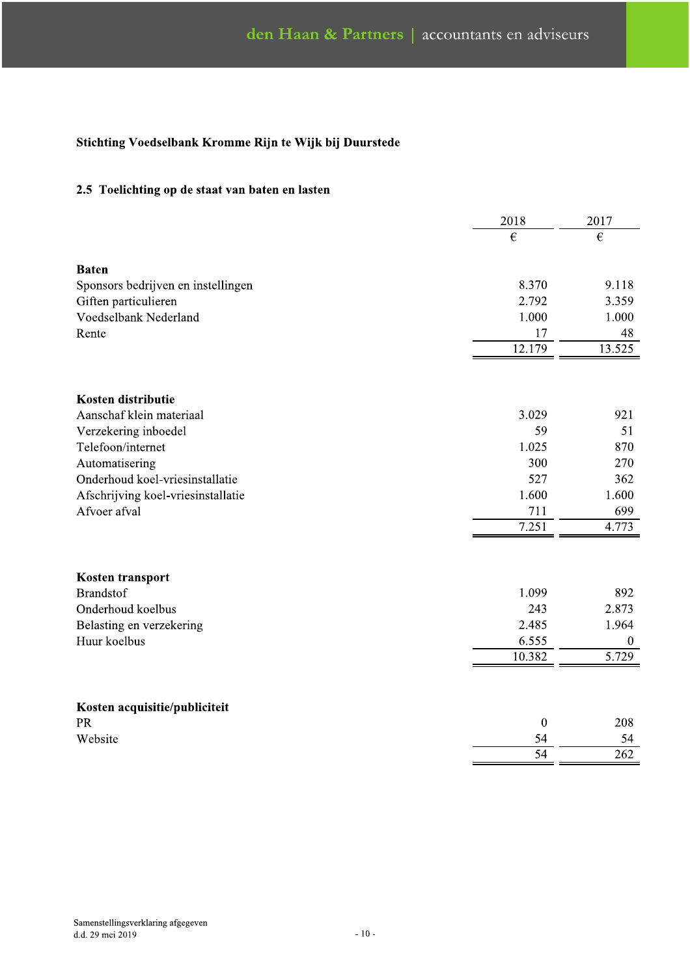## 2.5 Toelichting op de staat van baten en lasten

|                                    | 2018             | 2017         |
|------------------------------------|------------------|--------------|
|                                    | $\epsilon$       | $\epsilon$   |
|                                    |                  |              |
| <b>Baten</b>                       |                  |              |
| Sponsors bedrijven en instellingen | 8.370            | 9.118        |
| Giften particulieren               | 2.792            | 3.359        |
| Voedselbank Nederland              | 1.000            | 1.000        |
| Rente                              | 17               | 48           |
|                                    | 12.179           | 13.525       |
|                                    |                  |              |
| Kosten distributie                 |                  |              |
| Aanschaf klein materiaal           | 3.029            | 921          |
| Verzekering inboedel               | 59               | 51           |
| Telefoon/internet                  | 1.025            | 870          |
| Automatisering                     | 300              | 270          |
| Onderhoud koel-vriesinstallatie    | 527              | 362          |
| Afschrijving koel-vriesinstallatie | 1.600            | 1.600        |
| Afvoer afval                       | 711              | 699          |
|                                    | 7.251            | 4.773        |
|                                    |                  |              |
| Kosten transport                   |                  |              |
| <b>Brandstof</b>                   | 1.099            | 892          |
| Onderhoud koelbus                  | 243              | 2.873        |
| Belasting en verzekering           | 2.485            | 1.964        |
| Huur koelbus                       | 6.555            | $\mathbf{0}$ |
|                                    | 10.382           | 5.729        |
|                                    |                  |              |
| Kosten acquisitie/publiciteit      |                  |              |
| <b>PR</b>                          | $\boldsymbol{0}$ | 208          |
| Website                            | 54               | 54           |
|                                    | $\overline{54}$  | 262          |